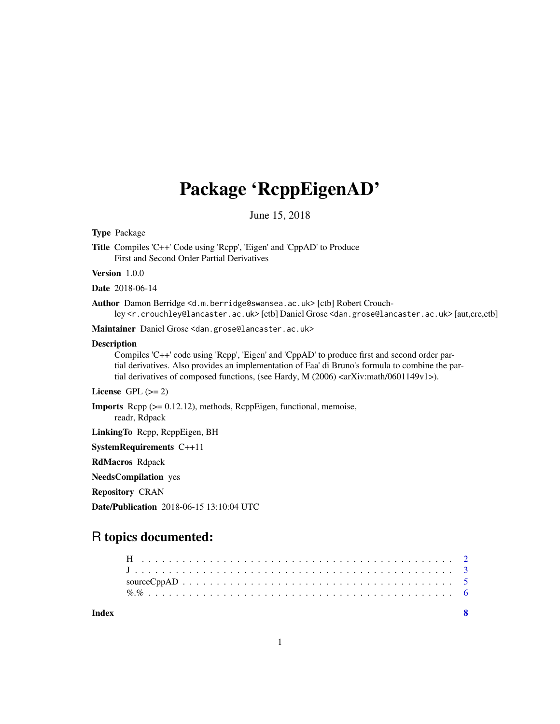### Package 'RcppEigenAD'

June 15, 2018

<span id="page-0-0"></span>Type Package

Title Compiles 'C++' Code using 'Rcpp', 'Eigen' and 'CppAD' to Produce First and Second Order Partial Derivatives

Version 1.0.0

Date 2018-06-14

Author Damon Berridge <d.m.berridge@swansea.ac.uk> [ctb] Robert Crouchley <r.crouchley@lancaster.ac.uk> [ctb] Daniel Grose <dan.grose@lancaster.ac.uk> [aut,cre,ctb]

Maintainer Daniel Grose <dan.grose@lancaster.ac.uk>

#### **Description**

Compiles 'C++' code using 'Rcpp', 'Eigen' and 'CppAD' to produce first and second order partial derivatives. Also provides an implementation of Faa' di Bruno's formula to combine the partial derivatives of composed functions, (see Hardy, M (2006) <arXiv:math/0601149v1>).

License GPL  $(>= 2)$ 

Imports Rcpp (>= 0.12.12), methods, RcppEigen, functional, memoise,

readr, Rdpack

LinkingTo Rcpp, RcppEigen, BH

SystemRequirements C++11

RdMacros Rdpack

NeedsCompilation yes

Repository CRAN

Date/Publication 2018-06-15 13:10:04 UTC

### R topics documented:

**Index** [8](#page-7-0) **8**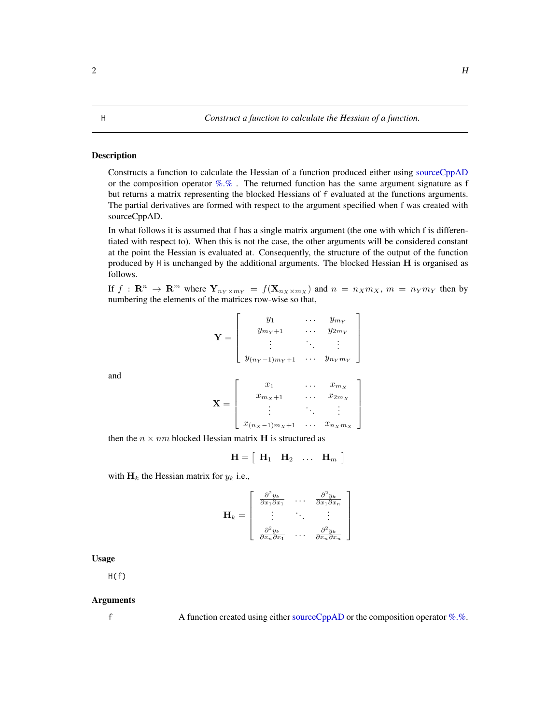#### <span id="page-1-1"></span><span id="page-1-0"></span>Description

Constructs a function to calculate the Hessian of a function produced either using [sourceCppAD](#page-4-1) or the composition operator  $\%$ . The returned function has the same argument signature as f but returns a matrix representing the blocked Hessians of f evaluated at the functions arguments. The partial derivatives are formed with respect to the argument specified when f was created with sourceCppAD.

In what follows it is assumed that f has a single matrix argument (the one with which f is differentiated with respect to). When this is not the case, the other arguments will be considered constant at the point the Hessian is evaluated at. Consequently, the structure of the output of the function produced by  $H$  is unchanged by the additional arguments. The blocked Hessian  $H$  is organised as follows.

If  $f: \mathbb{R}^n \to \mathbb{R}^m$  where  $Y_{n_Y \times m_Y} = f(X_{n_X \times m_X})$  and  $n = n_X m_X$ ,  $m = n_Y m_Y$  then by numbering the elements of the matrices row-wise so that,

> 1  $\overline{1}$  $\overline{1}$  $\mathbf{I}$  $\mathbf{I}$

$$
\mathbf{Y} = \begin{bmatrix} y_1 & \cdots & y_{m_Y} \\ y_{m_Y+1} & \cdots & y_{2m_Y} \\ \vdots & \ddots & \vdots \\ y_{(n_Y-1)m_Y+1} & \cdots & y_{n_Ym_Y} \end{bmatrix}
$$

and

$$
\mathbf{X} = \left[ \begin{array}{ccc} x_1 & \cdots & x_{m_X} \\ x_{m_X+1} & \cdots & x_{2m_X} \\ \vdots & \ddots & \vdots \\ x_{(n_X-1)m_X+1} & \cdots & x_{n_Xm_X} \end{array} \right]
$$

then the  $n \times nm$  blocked Hessian matrix H is structured as

 $\mathbf{H} = \left[ \begin{array}{cccc} \mathbf{H}_1 & \mathbf{H}_2 & \ldots & \mathbf{H}_m \end{array} \right]$ 

with  $H_k$  the Hessian matrix for  $y_k$  i.e.,

$$
\mathbf{H}_{k} = \left[ \begin{array}{ccc} \frac{\partial^{2} y_{k}}{\partial x_{1} \partial x_{1}} & \cdots & \frac{\partial^{2} y_{k}}{\partial x_{1} \partial x_{n}} \\ \vdots & \ddots & \vdots \\ \frac{\partial^{2} y_{k}}{\partial x_{n} \partial x_{1}} & \cdots & \frac{\partial^{2} y_{k}}{\partial x_{n} \partial x_{n}} \end{array} \right]
$$

Usage

 $H(f)$ 

#### Arguments

f A function created using either [sourceCppAD](#page-4-1) or the composition operator  $\%$ .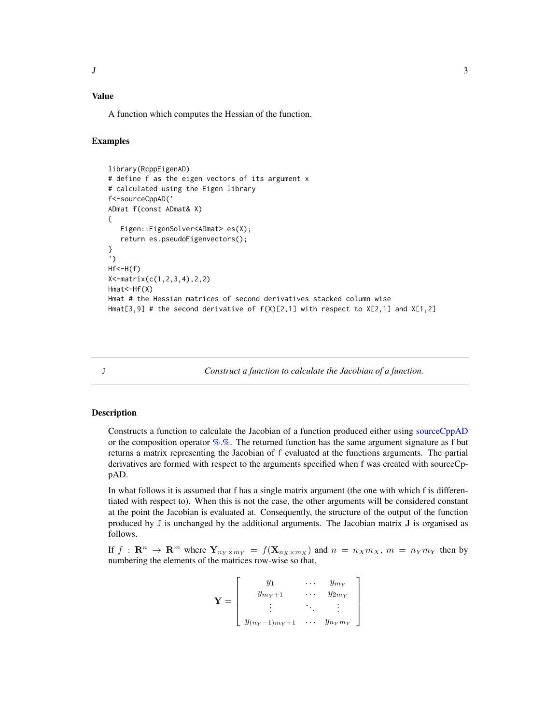### <span id="page-2-0"></span>Value

A function which computes the Hessian of the function.

#### Examples

```
library(RcppEigenAD)
# define f as the eigen vectors of its argument x
# calculated using the Eigen library
f<-sourceCppAD('
ADmat f(const ADmat& X)
{
  Eigen::EigenSolver<ADmat> es(X);
  return es.pseudoEigenvectors();
}
')
Hf<-H(f)X<-matrix(c(1,2,3,4),2,2)
Hmat<-Hf(X)
Hmat # the Hessian matrices of second derivatives stacked column wise
Hmat[3,9] # the second derivative of f(X)[2,1] with respect to X[2,1] and X[1,2]
```
<span id="page-2-1"></span>

J *Construct a function to calculate the Jacobian of a function.*

#### **Description**

Constructs a function to calculate the Jacobian of a function produced either using [sourceCppAD](#page-4-1) or the composition operator  $\%$ .%. The returned function has the same argument signature as f but returns a matrix representing the Jacobian of f evaluated at the functions arguments. The partial derivatives are formed with respect to the arguments specified when f was created with sourceCppAD.

In what follows it is assumed that f has a single matrix argument (the one with which f is differentiated with respect to). When this is not the case, the other arguments will be considered constant at the point the Jacobian is evaluated at. Consequently, the structure of the output of the function produced by J is unchanged by the additional arguments. The Jacobian matrix J is organised as follows.

If  $f: \mathbb{R}^n \to \mathbb{R}^m$  where  $Y_{n_Y \times m_Y} = f(X_{n_X \times m_X})$  and  $n = n_X m_X$ ,  $m = n_Y m_Y$  then by numbering the elements of the matrices row-wise so that,

$$
\mathbf{Y} = \left[ \begin{array}{ccc} y_1 & \cdots & y_{m_Y} \\ y_{m_Y+1} & \cdots & y_{2m_Y} \\ \vdots & \ddots & \vdots \\ y_{(n_Y-1)m_Y+1} & \cdots & y_{n_Ym_Y} \end{array} \right]
$$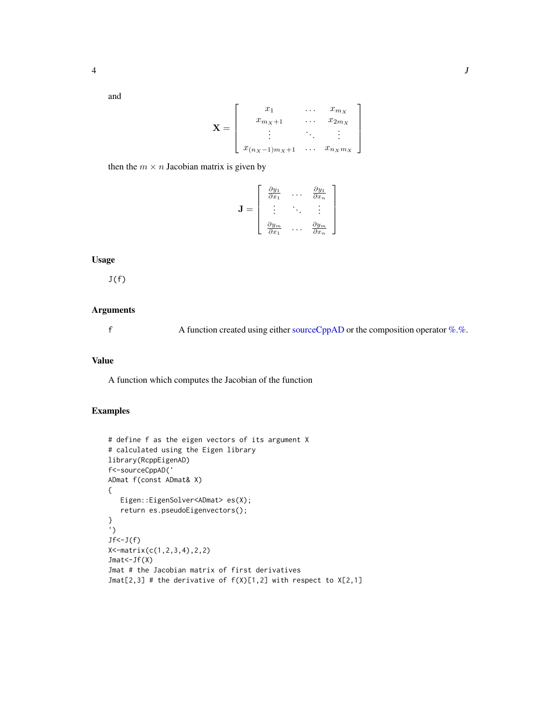<span id="page-3-0"></span>and

$$
\mathbf{X} = \begin{bmatrix} x_1 & \cdots & x_{m_X} \\ x_{m_X+1} & \cdots & x_{2m_X} \\ \vdots & \ddots & \vdots \\ x_{(n_X-1)m_X+1} & \cdots & x_{n_Xm_X} \end{bmatrix}
$$

then the  $m \times n$  Jacobian matrix is given by

$$
\mathbf{J} = \left[ \begin{array}{ccc} \frac{\partial y_1}{\partial x_1} & \cdots & \frac{\partial y_1}{\partial x_n} \\ \vdots & \ddots & \vdots \\ \frac{\partial y_m}{\partial x_1} & \cdots & \frac{\partial y_m}{\partial x_n} \end{array} \right]
$$

#### **Usage**

 $J(f)$ 

#### **Arguments**

 $\mathsf f$ A function created using either sourceCppAD or the composition operator %.%.

#### **Value**

A function which computes the Jacobian of the function

#### **Examples**

```
# define f as the eigen vectors of its argument X
# calculated using the Eigen library
library(RcppEigenAD)
f<-sourceCppAD('
ADmat f(const ADmat& X)
\{Eigen::EigenSolver<ADmat> es(X);
   return es.pseudoEigenvectors();
\mathcal{E}\bar{\mathcal{L}}Jf<-J(f)X < -matrix(c(1, 2, 3, 4), 2, 2)Jmat<-Jf(X)Jmat # the Jacobian matrix of first derivatives
Jmat[2,3] # the derivative of f(X)[1,2] with respect to X[2,1]
```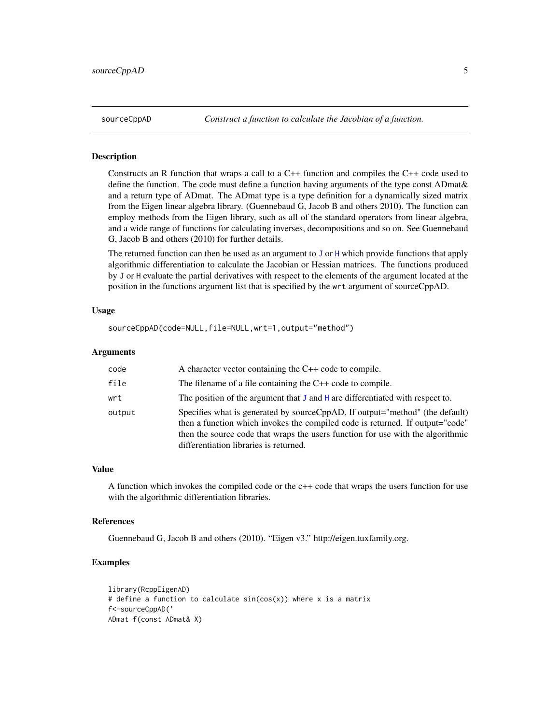#### Description

Constructs an R function that wraps a call to a C++ function and compiles the C++ code used to define the function. The code must define a function having arguments of the type const ADmat& and a return type of ADmat. The ADmat type is a type definition for a dynamically sized matrix from the Eigen linear algebra library. (Guennebaud G, Jacob B and others 2010). The function can employ methods from the Eigen library, such as all of the standard operators from linear algebra, and a wide range of functions for calculating inverses, decompositions and so on. See Guennebaud G, Jacob B and others (2010) for further details.

The returned function can then be used as an argument to  $J$  or  $H$  which provide functions that apply algorithmic differentiation to calculate the Jacobian or Hessian matrices. The functions produced by J or H evaluate the partial derivatives with respect to the elements of the argument located at the position in the functions argument list that is specified by the wrt argument of sourceCppAD.

#### Usage

```
sourceCppAD(code=NULL,file=NULL,wrt=1,output="method")
```
#### Arguments

| code   | A character vector containing the $C++$ code to compile.                                                                                                                                                                                                                                    |
|--------|---------------------------------------------------------------------------------------------------------------------------------------------------------------------------------------------------------------------------------------------------------------------------------------------|
| file   | The filename of a file containing the $C++$ code to compile.                                                                                                                                                                                                                                |
| wrt    | The position of the argument that $J$ and $H$ are differentiated with respect to.                                                                                                                                                                                                           |
| output | Specifies what is generated by source CppAD. If output="method" (the default)<br>then a function which invokes the compiled code is returned. If output="code"<br>then the source code that wraps the users function for use with the algorithmic<br>differentiation libraries is returned. |

#### Value

A function which invokes the compiled code or the c++ code that wraps the users function for use with the algorithmic differentiation libraries.

#### References

Guennebaud G, Jacob B and others (2010). "Eigen v3." http://eigen.tuxfamily.org.

#### Examples

```
library(RcppEigenAD)
# define a function to calculate sin(cos(x)) where x is a matrix
f<-sourceCppAD('
ADmat f(const ADmat& X)
```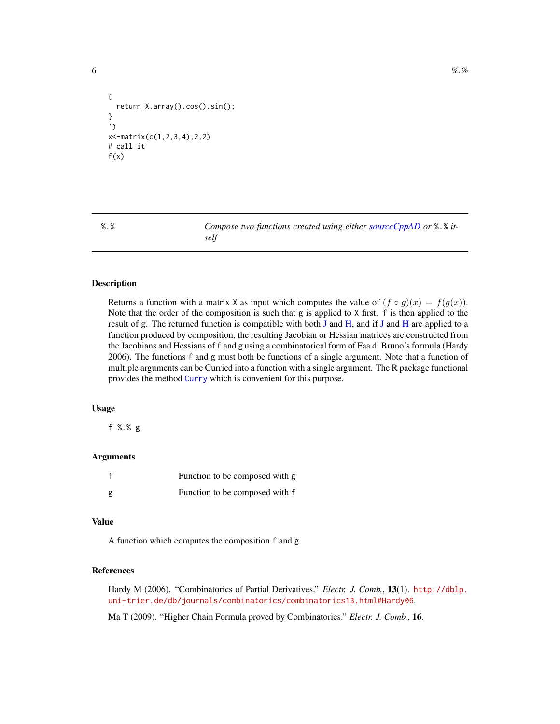```
{
 return X.array().cos().sin();
}
')
x<-matrix(c(1,2,3,4),2,2)
# call it
f(x)
```
<span id="page-5-1"></span>

%.% *Compose two functions created using either [sourceCppAD](#page-4-1) or* %.% *itself*

#### Description

Returns a function with a matrix X as input which computes the value of  $(f \circ g)(x) = f(g(x))$ . Note that the order of the composition is such that g is applied to X first. f is then applied to the result of g. The returned function is compatible with both [J](#page-2-1) and [H,](#page-1-1) and if [J](#page-2-1) and [H](#page-1-1) are applied to a function produced by composition, the resulting Jacobian or Hessian matrices are constructed from the Jacobians and Hessians of f and g using a combinatorical form of Faa di Bruno's formula (Hardy 2006). The functions f and g must both be functions of a single argument. Note that a function of multiple arguments can be Curried into a function with a single argument. The R package functional provides the method [Curry](#page-0-0) which is convenient for this purpose.

#### Usage

f %.% g

#### Arguments

| Function to be composed with g |
|--------------------------------|
| Function to be composed with f |

#### Value

A function which computes the composition f and g

#### References

Hardy M (2006). "Combinatorics of Partial Derivatives." *Electr. J. Comb.*, 13(1). [http://dblp.](http://dblp.uni-trier.de/db/journals/combinatorics/combinatorics13.html#Hardy06) [uni-trier.de/db/journals/combinatorics/combinatorics13.html#Hardy06](http://dblp.uni-trier.de/db/journals/combinatorics/combinatorics13.html#Hardy06).

Ma T (2009). "Higher Chain Formula proved by Combinatorics." *Electr. J. Comb.*, 16.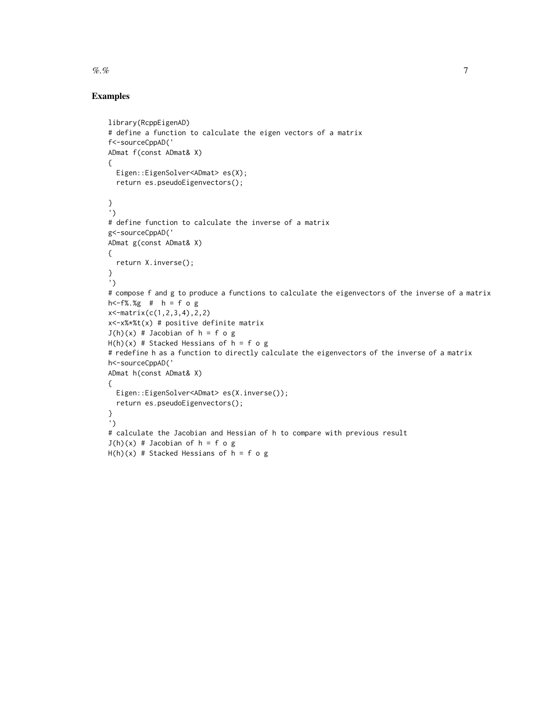## Examples

```
library(RcppEigenAD)
# define a function to calculate the eigen vectors of a matrix
f<-sourceCppAD('
ADmat f(const ADmat& X)
{
  Eigen::EigenSolver<ADmat> es(X);
  return es.pseudoEigenvectors();
}
')
# define function to calculate the inverse of a matrix
g<-sourceCppAD('
ADmat g(const ADmat& X)
{
  return X.inverse();
}
')
# compose f and g to produce a functions to calculate the eigenvectors of the inverse of a matrix
h<-f%.%g # h = f o g
x<-matrix(c(1,2,3,4),2,2)
x<-x%*%t(x) # positive definite matrix
J(h)(x) # Jacobian of h = f o gH(h)(x) # Stacked Hessians of h = f o g# redefine h as a function to directly calculate the eigenvectors of the inverse of a matrix
h<-sourceCppAD('
ADmat h(const ADmat& X)
{
  Eigen::EigenSolver<ADmat> es(X.inverse());
  return es.pseudoEigenvectors();
}
')
# calculate the Jacobian and Hessian of h to compare with previous result
J(h)(x) # Jacobian of h = f o gH(h)(x) # Stacked Hessians of h = f o g
```